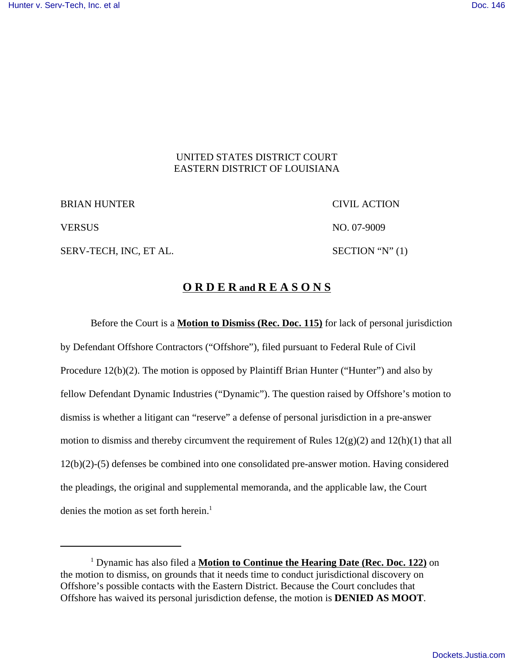### UNITED STATES DISTRICT COURT EASTERN DISTRICT OF LOUISIANA

BRIAN HUNTER CIVIL ACTION

SERV-TECH, INC, ET AL. SECTION "N" (1)

VERSUS NO. 07-9009

# **O R D E R and R E A S O N S**

Before the Court is a **Motion to Dismiss (Rec. Doc. 115)** for lack of personal jurisdiction by Defendant Offshore Contractors ("Offshore"), filed pursuant to Federal Rule of Civil Procedure 12(b)(2). The motion is opposed by Plaintiff Brian Hunter ("Hunter") and also by fellow Defendant Dynamic Industries ("Dynamic"). The question raised by Offshore's motion to dismiss is whether a litigant can "reserve" a defense of personal jurisdiction in a pre-answer motion to dismiss and thereby circumvent the requirement of Rules  $12(g)(2)$  and  $12(h)(1)$  that all 12(b)(2)-(5) defenses be combined into one consolidated pre-answer motion. Having considered the pleadings, the original and supplemental memoranda, and the applicable law, the Court denies the motion as set forth herein.<sup>1</sup>

<sup>&</sup>lt;sup>1</sup> Dynamic has also filed a **Motion to Continue the Hearing Date (Rec. Doc. 122)** on the motion to dismiss, on grounds that it needs time to conduct jurisdictional discovery on Offshore's possible contacts with the Eastern District. Because the Court concludes that Offshore has waived its personal jurisdiction defense, the motion is **DENIED AS MOOT**.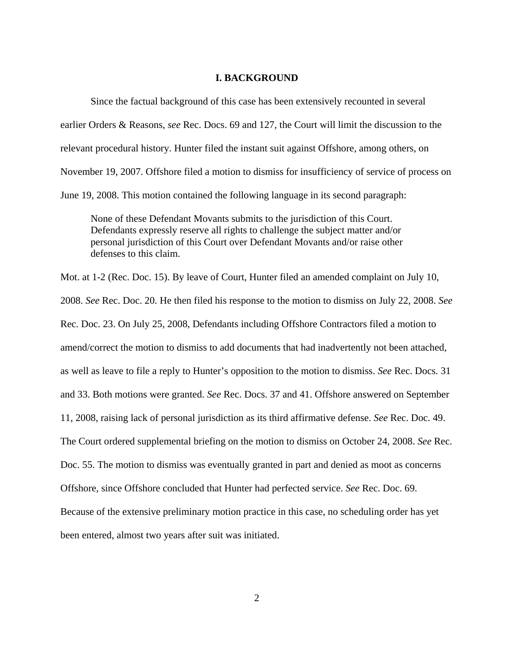#### **I. BACKGROUND**

Since the factual background of this case has been extensively recounted in several earlier Orders & Reasons, *see* Rec. Docs. 69 and 127, the Court will limit the discussion to the relevant procedural history. Hunter filed the instant suit against Offshore, among others, on November 19, 2007. Offshore filed a motion to dismiss for insufficiency of service of process on June 19, 2008. This motion contained the following language in its second paragraph:

None of these Defendant Movants submits to the jurisdiction of this Court. Defendants expressly reserve all rights to challenge the subject matter and/or personal jurisdiction of this Court over Defendant Movants and/or raise other defenses to this claim.

Mot. at 1-2 (Rec. Doc. 15). By leave of Court, Hunter filed an amended complaint on July 10, 2008. *See* Rec. Doc. 20. He then filed his response to the motion to dismiss on July 22, 2008. *See* Rec. Doc. 23. On July 25, 2008, Defendants including Offshore Contractors filed a motion to amend/correct the motion to dismiss to add documents that had inadvertently not been attached, as well as leave to file a reply to Hunter's opposition to the motion to dismiss. *See* Rec. Docs. 31 and 33. Both motions were granted. *See* Rec. Docs. 37 and 41. Offshore answered on September 11, 2008, raising lack of personal jurisdiction as its third affirmative defense. *See* Rec. Doc. 49. The Court ordered supplemental briefing on the motion to dismiss on October 24, 2008. *See* Rec. Doc. 55. The motion to dismiss was eventually granted in part and denied as moot as concerns Offshore, since Offshore concluded that Hunter had perfected service. *See* Rec. Doc. 69. Because of the extensive preliminary motion practice in this case, no scheduling order has yet been entered, almost two years after suit was initiated.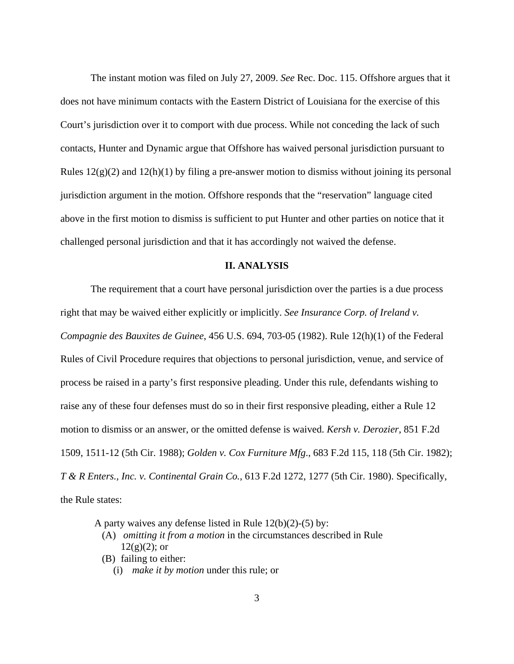The instant motion was filed on July 27, 2009. *See* Rec. Doc. 115. Offshore argues that it does not have minimum contacts with the Eastern District of Louisiana for the exercise of this Court's jurisdiction over it to comport with due process. While not conceding the lack of such contacts, Hunter and Dynamic argue that Offshore has waived personal jurisdiction pursuant to Rules  $12(g)(2)$  and  $12(h)(1)$  by filing a pre-answer motion to dismiss without joining its personal jurisdiction argument in the motion. Offshore responds that the "reservation" language cited above in the first motion to dismiss is sufficient to put Hunter and other parties on notice that it challenged personal jurisdiction and that it has accordingly not waived the defense.

#### **II. ANALYSIS**

The requirement that a court have personal jurisdiction over the parties is a due process right that may be waived either explicitly or implicitly. *See Insurance Corp. of Ireland v. Compagnie des Bauxites de Guinee*, 456 U.S. 694, 703-05 (1982). Rule 12(h)(1) of the Federal Rules of Civil Procedure requires that objections to personal jurisdiction, venue, and service of process be raised in a party's first responsive pleading. Under this rule, defendants wishing to raise any of these four defenses must do so in their first responsive pleading, either a Rule 12 motion to dismiss or an answer, or the omitted defense is waived. *Kersh v. Derozier*, 851 F.2d 1509, 1511-12 (5th Cir. 1988); *Golden v. Cox Furniture Mfg*., 683 F.2d 115, 118 (5th Cir. 1982); *T & R Enters., Inc. v. Continental Grain Co.*, 613 F.2d 1272, 1277 (5th Cir. 1980). Specifically, the Rule states:

A party waives any defense listed in Rule 12(b)(2)-(5) by:

- (A) *omitting it from a motion* in the circumstances described in Rule  $12(g)(2)$ ; or
- (B) failing to either:
	- (i) *make it by motion* under this rule; or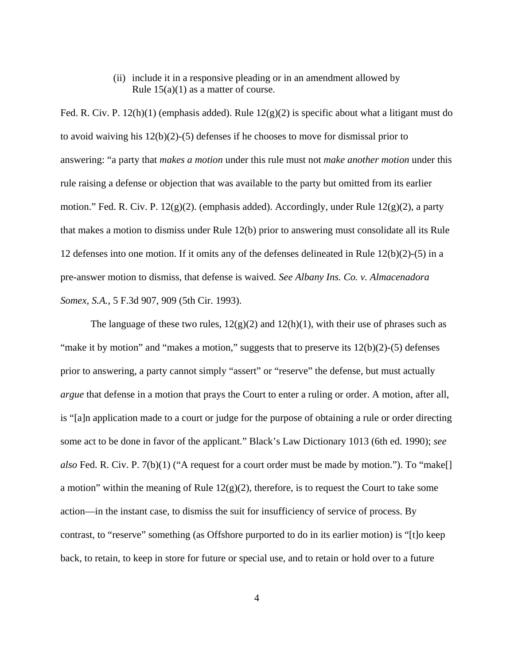(ii) include it in a responsive pleading or in an amendment allowed by Rule  $15(a)(1)$  as a matter of course.

Fed. R. Civ. P.  $12(h)(1)$  (emphasis added). Rule  $12(g)(2)$  is specific about what a litigant must do to avoid waiving his  $12(b)(2)-(5)$  defenses if he chooses to move for dismissal prior to answering: "a party that *makes a motion* under this rule must not *make another motion* under this rule raising a defense or objection that was available to the party but omitted from its earlier motion." Fed. R. Civ. P. 12(g)(2). (emphasis added). Accordingly, under Rule 12(g)(2), a party that makes a motion to dismiss under Rule 12(b) prior to answering must consolidate all its Rule 12 defenses into one motion. If it omits any of the defenses delineated in Rule 12(b)(2)-(5) in a pre-answer motion to dismiss, that defense is waived. *See Albany Ins. Co. v. Almacenadora Somex, S.A.*, 5 F.3d 907, 909 (5th Cir. 1993).

The language of these two rules,  $12(g)(2)$  and  $12(h)(1)$ , with their use of phrases such as "make it by motion" and "makes a motion," suggests that to preserve its  $12(b)(2)-(5)$  defenses prior to answering, a party cannot simply "assert" or "reserve" the defense, but must actually *argue* that defense in a motion that prays the Court to enter a ruling or order. A motion, after all, is "[a]n application made to a court or judge for the purpose of obtaining a rule or order directing some act to be done in favor of the applicant." Black's Law Dictionary 1013 (6th ed. 1990); *see also* Fed. R. Civ. P. 7(b)(1) ("A request for a court order must be made by motion."). To "make[] a motion" within the meaning of Rule  $12(g)(2)$ , therefore, is to request the Court to take some action—in the instant case, to dismiss the suit for insufficiency of service of process. By contrast, to "reserve" something (as Offshore purported to do in its earlier motion) is "[t]o keep back, to retain, to keep in store for future or special use, and to retain or hold over to a future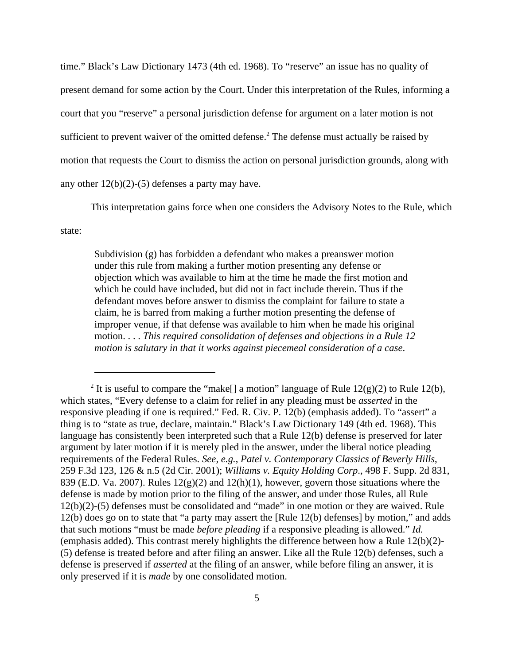time." Black's Law Dictionary 1473 (4th ed. 1968). To "reserve" an issue has no quality of present demand for some action by the Court. Under this interpretation of the Rules, informing a court that you "reserve" a personal jurisdiction defense for argument on a later motion is not sufficient to prevent waiver of the omitted defense.<sup>2</sup> The defense must actually be raised by motion that requests the Court to dismiss the action on personal jurisdiction grounds, along with any other  $12(b)(2)-(5)$  defenses a party may have.

This interpretation gains force when one considers the Advisory Notes to the Rule, which

state:

Subdivision (g) has forbidden a defendant who makes a preanswer motion under this rule from making a further motion presenting any defense or objection which was available to him at the time he made the first motion and which he could have included, but did not in fact include therein. Thus if the defendant moves before answer to dismiss the complaint for failure to state a claim, he is barred from making a further motion presenting the defense of improper venue, if that defense was available to him when he made his original motion. . . . *This required consolidation of defenses and objections in a Rule 12 motion is salutary in that it works against piecemeal consideration of a case*.

<sup>&</sup>lt;sup>2</sup> It is useful to compare the "make[] a motion" language of Rule  $12(g)(2)$  to Rule  $12(b)$ , which states, "Every defense to a claim for relief in any pleading must be *asserted* in the responsive pleading if one is required." Fed. R. Civ. P. 12(b) (emphasis added). To "assert" a thing is to "state as true, declare, maintain." Black's Law Dictionary 149 (4th ed. 1968). This language has consistently been interpreted such that a Rule 12(b) defense is preserved for later argument by later motion if it is merely pled in the answer, under the liberal notice pleading requirements of the Federal Rules. *See, e.g.*, *Patel v. Contemporary Classics of Beverly Hills*, 259 F.3d 123, 126 & n.5 (2d Cir. 2001); *Williams v. Equity Holding Corp*., 498 F. Supp. 2d 831, 839 (E.D. Va. 2007). Rules  $12(g)(2)$  and  $12(h)(1)$ , however, govern those situations where the defense is made by motion prior to the filing of the answer, and under those Rules, all Rule 12(b)(2)-(5) defenses must be consolidated and "made" in one motion or they are waived. Rule 12(b) does go on to state that "a party may assert the [Rule 12(b) defenses] by motion," and adds that such motions "must be made *before pleading* if a responsive pleading is allowed." *Id.* (emphasis added). This contrast merely highlights the difference between how a Rule 12(b)(2)- (5) defense is treated before and after filing an answer. Like all the Rule 12(b) defenses, such a defense is preserved if *asserted* at the filing of an answer, while before filing an answer, it is only preserved if it is *made* by one consolidated motion.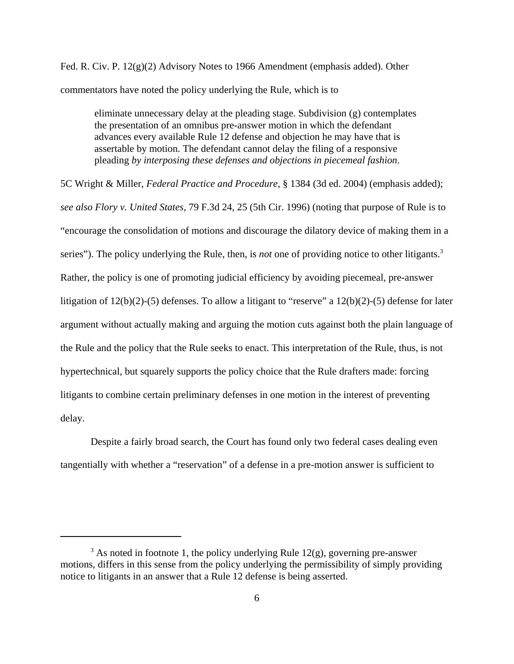Fed. R. Civ. P. 12(g)(2) Advisory Notes to 1966 Amendment (emphasis added). Other commentators have noted the policy underlying the Rule, which is to

eliminate unnecessary delay at the pleading stage. Subdivision (g) contemplates the presentation of an omnibus pre-answer motion in which the defendant advances every available Rule 12 defense and objection he may have that is assertable by motion. The defendant cannot delay the filing of a responsive pleading *by interposing these defenses and objections in piecemeal fashion*.

5C Wright & Miller, *Federal Practice and Procedure,* § 1384 (3d ed. 2004) (emphasis added); *see also Flory v. United States,* 79 F.3d 24, 25 (5th Cir. 1996) (noting that purpose of Rule is to "encourage the consolidation of motions and discourage the dilatory device of making them in a series"). The policy underlying the Rule, then, is *not* one of providing notice to other litigants.<sup>3</sup> Rather, the policy is one of promoting judicial efficiency by avoiding piecemeal, pre-answer litigation of 12(b)(2)-(5) defenses. To allow a litigant to "reserve" a 12(b)(2)-(5) defense for later argument without actually making and arguing the motion cuts against both the plain language of the Rule and the policy that the Rule seeks to enact. This interpretation of the Rule, thus, is not hypertechnical, but squarely supports the policy choice that the Rule drafters made: forcing litigants to combine certain preliminary defenses in one motion in the interest of preventing delay.

Despite a fairly broad search, the Court has found only two federal cases dealing even tangentially with whether a "reservation" of a defense in a pre-motion answer is sufficient to

 $3$  As noted in footnote 1, the policy underlying Rule 12(g), governing pre-answer motions, differs in this sense from the policy underlying the permissibility of simply providing notice to litigants in an answer that a Rule 12 defense is being asserted.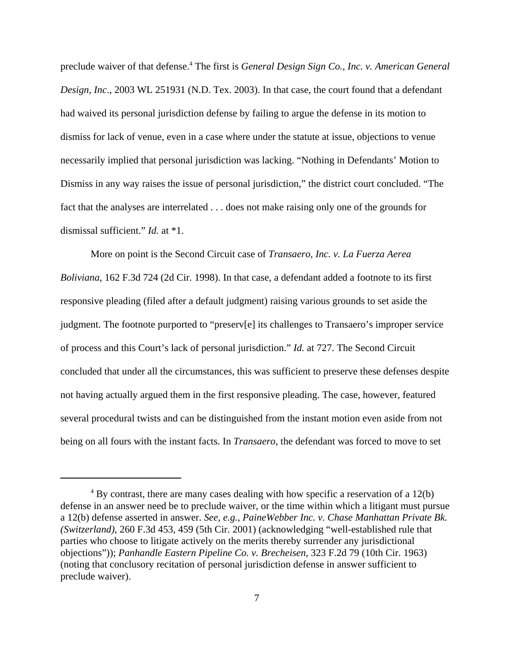preclude waiver of that defense.<sup>4</sup> The first is *General Design Sign Co., Inc. v. American General Design, Inc*., 2003 WL 251931 (N.D. Tex. 2003). In that case, the court found that a defendant had waived its personal jurisdiction defense by failing to argue the defense in its motion to dismiss for lack of venue, even in a case where under the statute at issue, objections to venue necessarily implied that personal jurisdiction was lacking. "Nothing in Defendants' Motion to Dismiss in any way raises the issue of personal jurisdiction," the district court concluded. "The fact that the analyses are interrelated . . . does not make raising only one of the grounds for dismissal sufficient." *Id.* at \*1.

More on point is the Second Circuit case of *Transaero, Inc. v. La Fuerza Aerea Boliviana*, 162 F.3d 724 (2d Cir. 1998). In that case, a defendant added a footnote to its first responsive pleading (filed after a default judgment) raising various grounds to set aside the judgment. The footnote purported to "preserv[e] its challenges to Transaero's improper service of process and this Court's lack of personal jurisdiction." *Id.* at 727. The Second Circuit concluded that under all the circumstances, this was sufficient to preserve these defenses despite not having actually argued them in the first responsive pleading. The case, however, featured several procedural twists and can be distinguished from the instant motion even aside from not being on all fours with the instant facts. In *Transaero*, the defendant was forced to move to set

 $4$  By contrast, there are many cases dealing with how specific a reservation of a 12(b) defense in an answer need be to preclude waiver, or the time within which a litigant must pursue a 12(b) defense asserted in answer. *See, e.g.*, *PaineWebber Inc. v. Chase Manhattan Private Bk. (Switzerland)*, 260 F.3d 453, 459 (5th Cir. 2001) (acknowledging "well-established rule that parties who choose to litigate actively on the merits thereby surrender any jurisdictional objections")); *Panhandle Eastern Pipeline Co. v. Brecheisen*, 323 F.2d 79 (10th Cir. 1963) (noting that conclusory recitation of personal jurisdiction defense in answer sufficient to preclude waiver).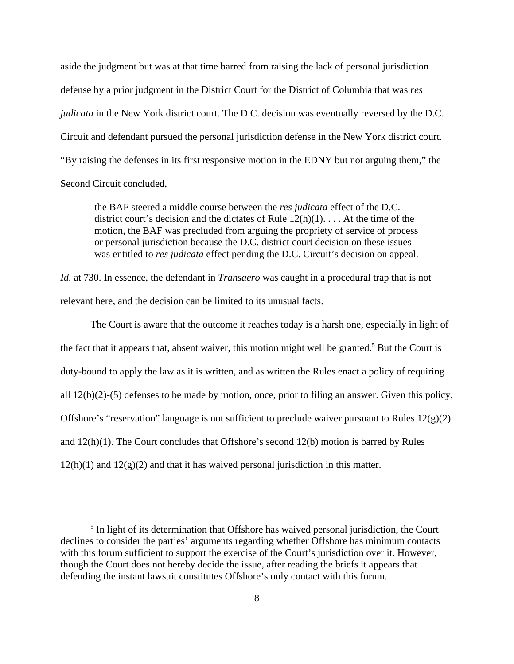aside the judgment but was at that time barred from raising the lack of personal jurisdiction defense by a prior judgment in the District Court for the District of Columbia that was *res judicata* in the New York district court. The D.C. decision was eventually reversed by the D.C. Circuit and defendant pursued the personal jurisdiction defense in the New York district court. "By raising the defenses in its first responsive motion in the EDNY but not arguing them," the Second Circuit concluded,

the BAF steered a middle course between the *res judicata* effect of the D.C. district court's decision and the dictates of Rule  $12(h)(1)$ ... At the time of the motion, the BAF was precluded from arguing the propriety of service of process or personal jurisdiction because the D.C. district court decision on these issues was entitled to *res judicata* effect pending the D.C. Circuit's decision on appeal.

*Id.* at 730. In essence, the defendant in *Transaero* was caught in a procedural trap that is not relevant here, and the decision can be limited to its unusual facts.

The Court is aware that the outcome it reaches today is a harsh one, especially in light of the fact that it appears that, absent waiver, this motion might well be granted.<sup>5</sup> But the Court is duty-bound to apply the law as it is written, and as written the Rules enact a policy of requiring all 12(b)(2)-(5) defenses to be made by motion, once, prior to filing an answer. Given this policy, Offshore's "reservation" language is not sufficient to preclude waiver pursuant to Rules  $12(g)(2)$ and 12(h)(1). The Court concludes that Offshore's second 12(b) motion is barred by Rules  $12(h)(1)$  and  $12(g)(2)$  and that it has waived personal jurisdiction in this matter.

<sup>&</sup>lt;sup>5</sup> In light of its determination that Offshore has waived personal jurisdiction, the Court declines to consider the parties' arguments regarding whether Offshore has minimum contacts with this forum sufficient to support the exercise of the Court's jurisdiction over it. However, though the Court does not hereby decide the issue, after reading the briefs it appears that defending the instant lawsuit constitutes Offshore's only contact with this forum.